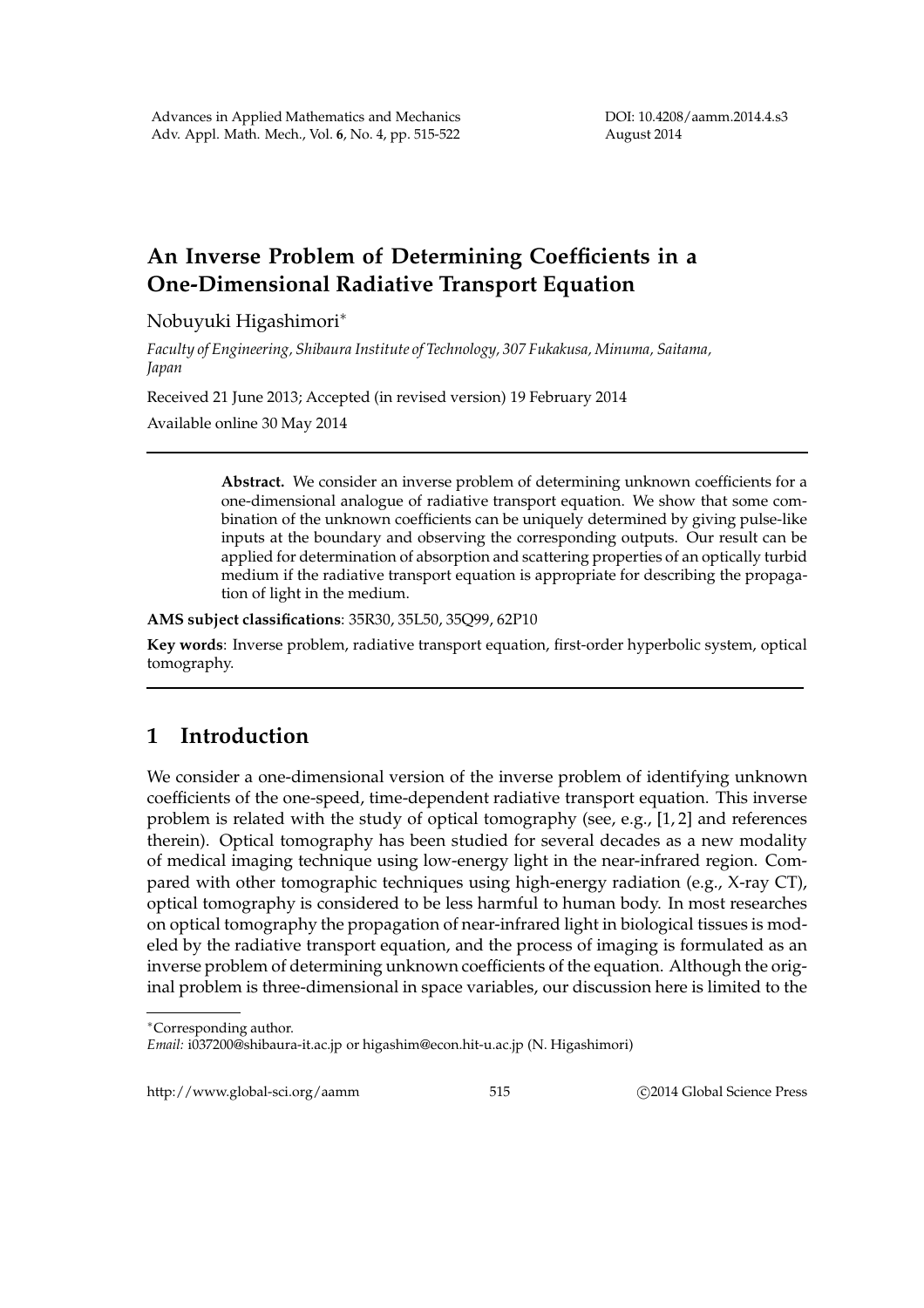## **An Inverse Problem of Determining Coefficients in a One-Dimensional Radiative Transport Equation**

Nobuyuki Higashimori∗

*Faculty of Engineering, Shibaura Institute of Technology, 307 Fukakusa, Minuma, Saitama, Japan*

Received 21 June 2013; Accepted (in revised version) 19 February 2014

Available online 30 May 2014

**Abstract.** We consider an inverse problem of determining unknown coefficients for a one-dimensional analogue of radiative transport equation. We show that some combination of the unknown coefficients can be uniquely determined by giving pulse-like inputs at the boundary and observing the corresponding outputs. Our result can be applied for determination of absorption and scattering properties of an optically turbid medium if the radiative transport equation is appropriate for describing the propagation of light in the medium.

**AMS subject classifications**: 35R30, 35L50, 35Q99, 62P10

**Key words**: Inverse problem, radiative transport equation, first-order hyperbolic system, optical tomography.

## **1 Introduction**

We consider a one-dimensional version of the inverse problem of identifying unknown coefficients of the one-speed, time-dependent radiative transport equation. This inverse problem is related with the study of optical tomography (see, e.g., [1, 2] and references therein). Optical tomography has been studied for several decades as a new modality of medical imaging technique using low-energy light in the near-infrared region. Compared with other tomographic techniques using high-energy radiation (e.g., X-ray CT), optical tomography is considered to be less harmful to human body. In most researches on optical tomography the propagation of near-infrared light in biological tissues is modeled by the radiative transport equation, and the process of imaging is formulated as an inverse problem of determining unknown coefficients of the equation. Although the original problem is three-dimensional in space variables, our discussion here is limited to the

http://www.global-sci.org/aamm 515 
515 C2014 Global Science Press

<sup>∗</sup>Corresponding author.

*Email:* i037200@shibaura-it.ac.jp or higashim@econ.hit-u.ac.jp (N. Higashimori)